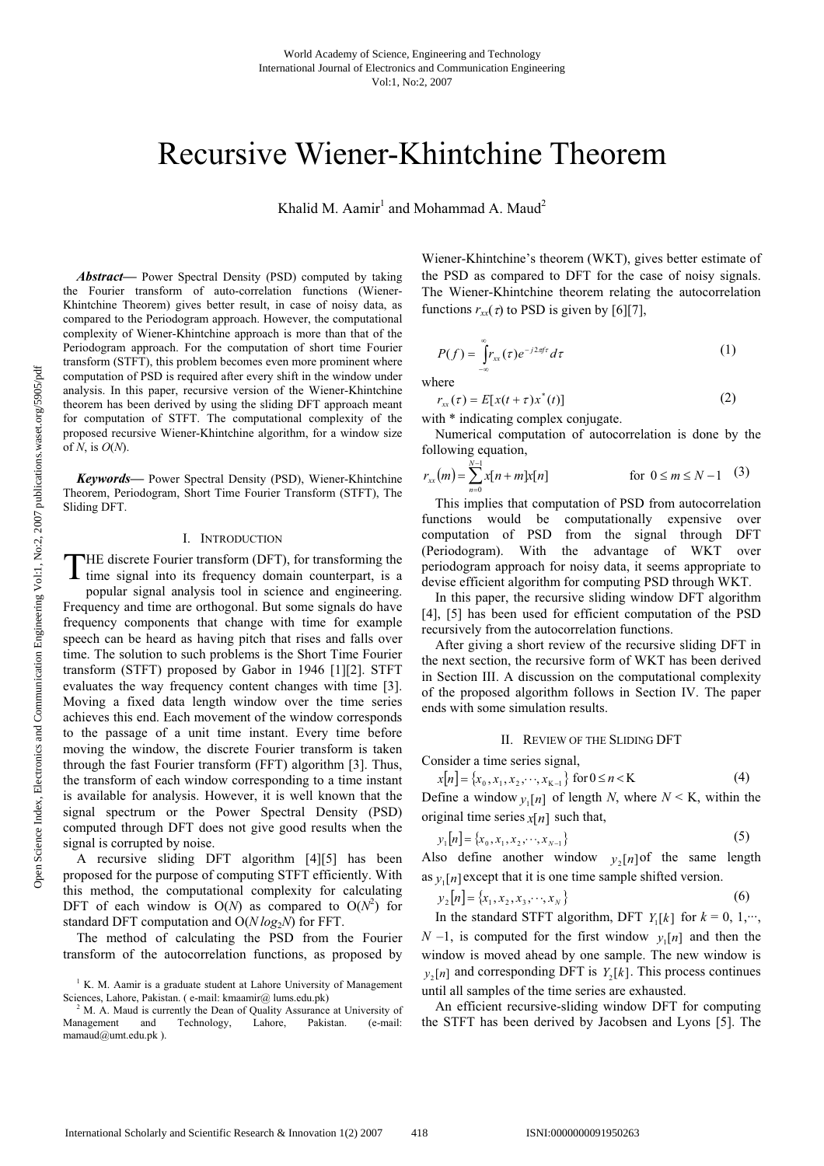# Recursive Wiener-Khintchine Theorem

Khalid M. Aamir $^1$  and Mohammad A. Maud $^2$ 

*Abstract***—** Power Spectral Density (PSD) computed by taking the Fourier transform of auto-correlation functions (Wiener-Khintchine Theorem) gives better result, in case of noisy data, as compared to the Periodogram approach. However, the computational complexity of Wiener-Khintchine approach is more than that of the Periodogram approach. For the computation of short time Fourier transform (STFT), this problem becomes even more prominent where computation of PSD is required after every shift in the window under analysis. In this paper, recursive version of the Wiener-Khintchine theorem has been derived by using the sliding DFT approach meant for computation of STFT. The computational complexity of the proposed recursive Wiener-Khintchine algorithm, for a window size of *N*, is *O*(*N*).

*Keywords***—** Power Spectral Density (PSD), Wiener-Khintchine Theorem, Periodogram, Short Time Fourier Transform (STFT), The Sliding DFT.

## I. INTRODUCTION

HE discrete Fourier transform (DFT), for transforming the THE discrete Fourier transform (DFT), for transforming the time signal into its frequency domain counterpart, is a

popular signal analysis tool in science and engineering. Frequency and time are orthogonal. But some signals do have frequency components that change with time for example speech can be heard as having pitch that rises and falls over time. The solution to such problems is the Short Time Fourier transform (STFT) proposed by Gabor in 1946 [1][2]. STFT evaluates the way frequency content changes with time [3]. Moving a fixed data length window over the time series achieves this end. Each movement of the window corresponds to the passage of a unit time instant. Every time before moving the window, the discrete Fourier transform is taken through the fast Fourier transform (FFT) algorithm [3]. Thus, the transform of each window corresponding to a time instant is available for analysis. However, it is well known that the signal spectrum or the Power Spectral Density (PSD) computed through DFT does not give good results when the signal is corrupted by noise.

A recursive sliding DFT algorithm [4][5] has been proposed for the purpose of computing STFT efficiently. With this method, the computational complexity for calculating DFT of each window is  $O(N)$  as compared to  $O(N^2)$  for standard DFT computation and  $O(N \log_2 N)$  for FFT.

The method of calculating the PSD from the Fourier transform of the autocorrelation functions, as proposed by

Wiener-Khintchine's theorem (WKT), gives better estimate of the PSD as compared to DFT for the case of noisy signals. The Wiener-Khintchine theorem relating the autocorrelation functions  $r_{xx}(z)$  to PSD is given by [6][7],

$$
P(f) = \int_{-\infty}^{\infty} r_{xx}(\tau) e^{-j2\pi f \tau} d\tau
$$
 (1)

where

$$
r_{xx}(\tau) = E[x(t+\tau)x^*(t)]
$$
 (2)

with  $*$  indicating complex conjugate.

Numerical computation of autocorrelation is done by the following equation,

$$
r_{xx}(m) = \sum_{n=0}^{N-1} x[n+m]x[n] \qquad \text{for } 0 \le m \le N-1 \quad (3)
$$

This implies that computation of PSD from autocorrelation functions would be computationally expensive over computation of PSD from the signal through DFT (Periodogram). With the advantage of WKT over periodogram approach for noisy data, it seems appropriate to devise efficient algorithm for computing PSD through WKT.

In this paper, the recursive sliding window DFT algorithm [4], [5] has been used for efficient computation of the PSD recursively from the autocorrelation functions.

After giving a short review of the recursive sliding DFT in the next section, the recursive form of WKT has been derived in Section III. A discussion on the computational complexity of the proposed algorithm follows in Section IV. The paper ends with some simulation results.

#### II. REVIEW OF THE SLIDING DFT

Consider a time series signal,

$$
x[n] = \{x_0, x_1, x_2, \cdots, x_{K-1}\} \text{ for } 0 \le n < K \tag{4}
$$

Define a window  $y_1[n]$  of length *N*, where  $N \le K$ , within the original time series  $x[n]$  such that,

$$
y_1[n] = \{x_0, x_1, x_2, \cdots, x_{N-1}\}\tag{5}
$$

Also define another window  $y_2[n]$  of the same length as  $y_1[n]$  except that it is one time sample shifted version.

$$
y_2[n] = \{x_1, x_2, x_3, \cdots, x_N\}
$$
 (6)

In the standard STFT algorithm, DFT  $Y_1[k]$  for  $k = 0, 1, \dots,$ *N* –1, is computed for the first window  $y_1[n]$  and then the window is moved ahead by one sample. The new window is  $y_2[n]$  and corresponding DFT is  $Y_2[k]$ . This process continues until all samples of the time series are exhausted.

An efficient recursive-sliding window DFT for computing the STFT has been derived by Jacobsen and Lyons [5]. The

<sup>&</sup>lt;sup>1</sup> K. M. Aamir is a graduate student at Lahore University of Management Sciences, Lahore, Pakistan. ( e-mail: kmaamir@ lums.edu.pk)

 $2^2$  M. A. Maud is currently the Dean of Quality Assurance at University of Management and Technology, Lahore, Pakistan. (e-mail: mamaud@umt.edu.pk ).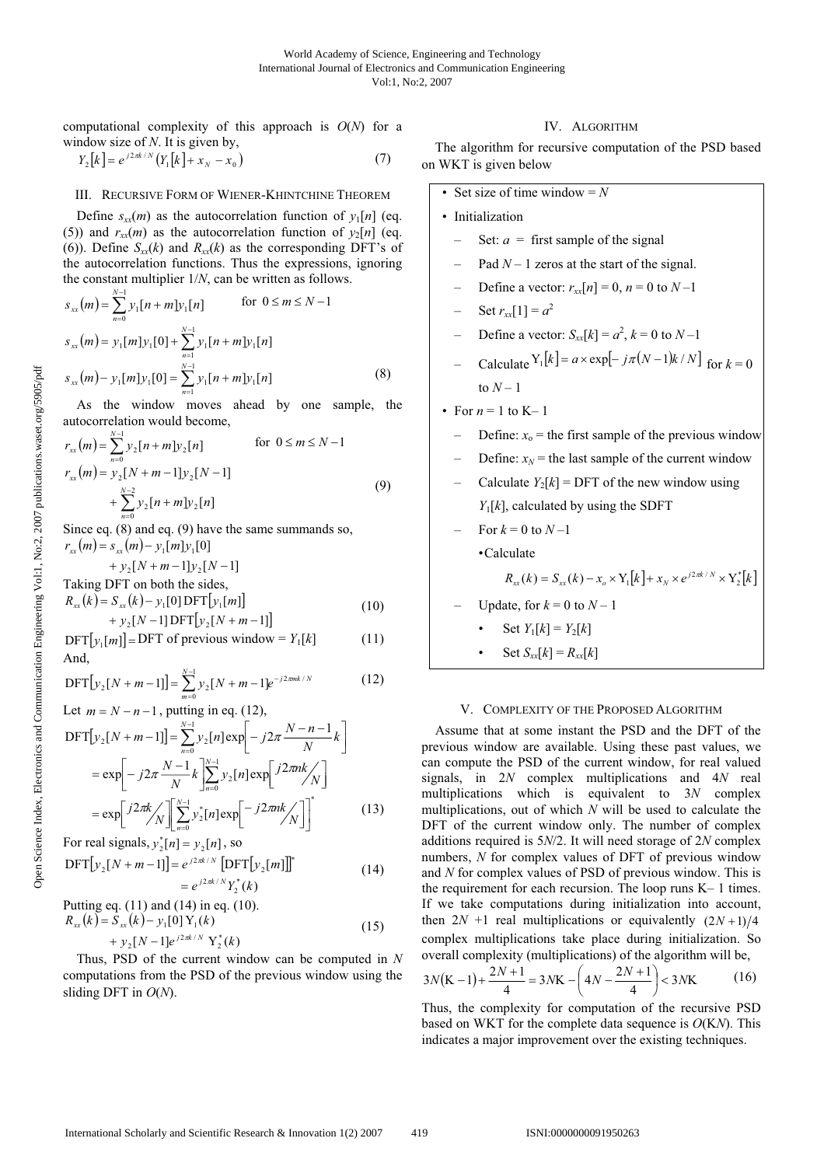computational complexity of this approach is *O*(*N*) for a window size of *N*. It is given by,

$$
Y_2[k] = e^{j2\pi k/N} (Y_1[k] + x_N - x_0)
$$
 (7)

## III. RECURSIVE FORM OF WIENER-KHINTCHINE THEOREM

Define  $s_{xx}(m)$  as the autocorrelation function of  $y_1[n]$  (eq. (5)) and  $r_{xx}(m)$  as the autocorrelation function of  $y_2[n]$  (eq. (6)). Define  $S_{xx}(k)$  and  $R_{xx}(k)$  as the corresponding DFT's of the autocorrelation functions. Thus the expressions, ignoring the constant multiplier 1/*N*, can be written as follows.

$$
s_{xx}(m) = \sum_{n=0}^{N-1} y_1[n+m] y_1[n] \quad \text{for } 0 \le m \le N-1
$$
  
\n
$$
s_{xx}(m) = y_1[m] y_1[0] + \sum_{n=1}^{N-1} y_1[n+m] y_1[n]
$$
  
\n
$$
s_{xx}(m) - y_1[m] y_1[0] = \sum_{n=1}^{N-1} y_1[n+m] y_1[n]
$$
 (8)

As the window moves ahead by one sample, the autocorrelation would become,

$$
r_{xx}(m) = \sum_{n=0}^{N-1} y_2[n+m] y_2[n] \qquad \text{for } 0 \le m \le N-1
$$
  
\n
$$
r_{xx}(m) = y_2[N+m-1] y_2[N-1]
$$
  
\n
$$
+ \sum_{n=0}^{N-2} y_2[n+m] y_2[n]
$$
  
\n(9)

Since eq. (8) and eq. (9) have the same summands so,  $r_{xx}(m) = s_{xx}(m) - y_1[m]y_1[0]$ 

$$
+ y_2[N+m-1]y_2[N-1]
$$
  
Taking DFT on both the sides,  
 $P_{\mu}(k) = S_{\mu}(k)$  ... [01 DFT[x1...])

$$
R_{xx}(k) = S_{xx}(k) - y_1[0] \text{DFT}[y_1[m]] + y_2[N-1] \text{DFT}[y_2[N+m-1]]
$$
\n(10)

 $\text{DFT}[y_1[m]] = \text{DFT}$  of previous window =  $Y_1[k]$  (11) And,

$$
\text{DFT}[y_2[N+m-1]] = \sum_{m=0}^{N-1} y_2[N+m-1]e^{-j2\pi mk/N} \tag{12}
$$

Let 
$$
m = N - n - 1
$$
, putting in eq. (12),  
\n
$$
DFT[y_2[N+m-1]] = \sum_{n=0}^{N-1} y_2[n] exp\left[-j2\pi \frac{N-n-1}{N}k\right]
$$
\n
$$
= exp\left[-j2\pi \frac{N-1}{N}k\right] \sum_{n=0}^{N-1} y_2[n] exp\left[\frac{j2\pi nk}{N}\right]
$$
\n
$$
= exp\left[\frac{j2\pi k}{N}\right] \sum_{n=0}^{N-1} y_2[n] exp\left[-j2\pi nk/\right]
$$
\nFor real graphs, it also

For real signals,  $y_2^*[n] = y_2[n]$ , so  $\text{DFT}[y_2[N+m-1]] = e^{j2\pi k/N} [\text{DFT}[y_2[m]]]^*$  (14)

$$
= e^{j2\pi k/N} Y_2^*(k)
$$

Putting eq. (11) and (14) in eq. (10).  $R_{xx}(k) = S_{xx}(k) - y_1[0]Y_1(k)$  (15)

$$
+ y_2[N-1]e^{j2\pi k/N} Y_2^*(k)
$$
  
thus PSD of the current window can be computed in

Thus, PSD of the current window can be computed in *N* computations from the PSD of the previous window using the sliding DFT in *O*(*N*).

## IV. ALGORITHM

The algorithm for recursive computation of the PSD based on WKT is given below

\n- \n Set size of time window = *N*\n
\n- \n Initialization\n
	\n- Set: 
	$$
	a =
	$$
	 first sample of the signal.
	\n- Pad *N* – 1 zeros at the start of the signal.
	\n- Define a vector:  $r_{xx}[n] = 0$ ,  $n = 0$  to  $N - 1$
	\n- Set  $r_{xx}[1] = a^2$
	\n- Define a vector:  $S_{xx}[k] = a^2$ ,  $k = 0$  to  $N - 1$
	\n- Calculate  $Y_1[k] = a \times \exp[-j\pi(N-1)k/N]$  for  $k = 0$
	\n- to  $N - 1$
	\n\n
\n- \n For  $n = 1$  to  $K - 1$ \n
\n- \n Define:  $x_0 =$  the first sample of the previous window\n
	\n- Define:  $x_N$  = the last sample of the current window
	\n- Calculate  $Y_2[k] =$  DFT of the new window using  $Y_1[k]$ , calculated by using the SDFT
	\n- For  $k = 0$  to  $N - 1$
	\n- Calculate\n  $R_{xx}(k) = S_{xx}(k) - x_o \times Y_1[k] + x_N \times e^{j2\pi k/N} \times Y_2^*[k]$ \n
	\n- Update, for  $k = 0$  to  $N - 1$
	\n- Set  $Y_1[k] = Y_2[k]$
	\n- Set  $S_{xx}[k] = R_{xx}[k]$
	\n\n
\n

#### V. COMPLEXITY OF THE PROPOSED ALGORITHM

Assume that at some instant the PSD and the DFT of the previous window are available. Using these past values, we can compute the PSD of the current window, for real valued signals, in 2*N* complex multiplications and 4*N* real multiplications which is equivalent to 3*N* complex multiplications, out of which *N* will be used to calculate the DFT of the current window only. The number of complex additions required is 5*N*/2. It will need storage of 2*N* complex numbers, *N* for complex values of DFT of previous window and *N* for complex values of PSD of previous window. This is the requirement for each recursion. The loop runs K– 1 times. If we take computations during initialization into account, then  $2N + 1$  real multiplications or equivalently  $(2N+1)/4$ complex multiplications take place during initialization. So overall complexity (multiplications) of the algorithm will be,

$$
3N(K-1) + \frac{2N+1}{4} = 3NK - \left(4N - \frac{2N+1}{4}\right) < 3NK
$$
 (16)

Thus, the complexity for computation of the recursive PSD based on WKT for the complete data sequence is *O*(K*N*). This indicates a major improvement over the existing techniques.